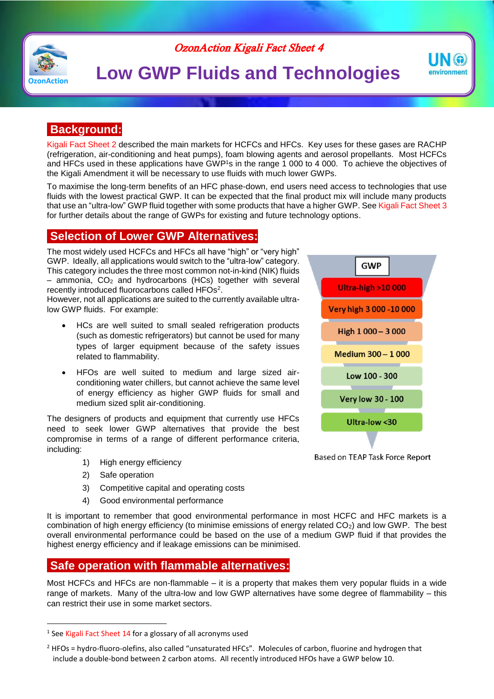

# OzonAction Kigali Fact Sheet 4

# **C**<sub>ZonAction</sub> **Low GWP Fluids and Technologies**

## **Background:**

Kigali Fact Sheet 2 described the main markets for HCFCs and HFCs. Key uses for these gases are RACHP (refrigeration, air-conditioning and heat pumps), foam blowing agents and aerosol propellants. Most HCFCs and HFCs used in these applications have GWP<sup>1</sup>s in the range 1 000 to 4 000. To achieve the objectives of the Kigali Amendment it will be necessary to use fluids with much lower GWPs.

To maximise the long-term benefits of an HFC phase-down, end users need access to technologies that use fluids with the lowest practical GWP. It can be expected that the final product mix will include many products that use an "ultra-low" GWP fluid together with some products that have a higher GWP. See Kigali Fact Sheet 3 for further details about the range of GWPs for existing and future technology options.

### **Selection of Lower GWP Alternatives:**

The most widely used HCFCs and HFCs all have "high" or "very high" GWP. Ideally, all applications would switch to the "ultra-low" category. This category includes the three most common not-in-kind (NIK) fluids  $-$  ammonia,  $CO<sub>2</sub>$  and hydrocarbons (HCs) together with several recently introduced fluorocarbons called HFOs<sup>2</sup>.

However, not all applications are suited to the currently available ultralow GWP fluids. For example:

- HCs are well suited to small sealed refrigeration products (such as domestic refrigerators) but cannot be used for many types of larger equipment because of the safety issues related to flammability.
- HFOs are well suited to medium and large sized airconditioning water chillers, but cannot achieve the same level of energy efficiency as higher GWP fluids for small and medium sized split air-conditioning.

The designers of products and equipment that currently use HFCs need to seek lower GWP alternatives that provide the best compromise in terms of a range of different performance criteria, including:

- 1) High energy efficiency
- 2) Safe operation

1

- 3) Competitive capital and operating costs
- 4) Good environmental performance

It is important to remember that good environmental performance in most HCFC and HFC markets is a combination of high energy efficiency (to minimise emissions of energy related  $CO<sub>2</sub>$ ) and low GWP. The best overall environmental performance could be based on the use of a medium GWP fluid if that provides the highest energy efficiency and if leakage emissions can be minimised.

# **Safe operation with flammable alternatives:**

Most HCFCs and HFCs are non-flammable – it is a property that makes them very popular fluids in a wide range of markets. Many of the ultra-low and low GWP alternatives have some degree of flammability – this can restrict their use in some market sectors.



IN G environment

Based on TEAP Task Force Report

<sup>&</sup>lt;sup>1</sup> See Kigali Fact Sheet 14 for a glossary of all acronyms used

<sup>&</sup>lt;sup>2</sup> HFOs = hydro-fluoro-olefins, also called "unsaturated HFCs". Molecules of carbon, fluorine and hydrogen that include a double-bond between 2 carbon atoms. All recently introduced HFOs have a GWP below 10.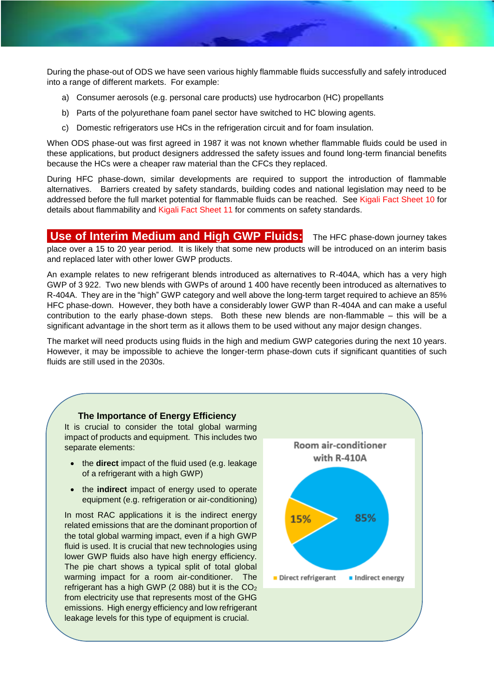During the phase-out of ODS we have seen various highly flammable fluids successfully and safely introduced into a range of different markets. For example:

- a) Consumer aerosols (e.g. personal care products) use hydrocarbon (HC) propellants
- b) Parts of the polyurethane foam panel sector have switched to HC blowing agents.
- c) Domestic refrigerators use HCs in the refrigeration circuit and for foam insulation.

When ODS phase-out was first agreed in 1987 it was not known whether flammable fluids could be used in these applications, but product designers addressed the safety issues and found long-term financial benefits because the HCs were a cheaper raw material than the CFCs they replaced.

During HFC phase-down, similar developments are required to support the introduction of flammable alternatives. Barriers created by safety standards, building codes and national legislation may need to be addressed before the full market potential for flammable fluids can be reached. See Kigali Fact Sheet 10 for details about flammability and Kigali Fact Sheet 11 for comments on safety standards.

### **Use of Interim Medium and High GWP Fluids:** The HFC phase-down journey takes

place over a 15 to 20 year period. It is likely that some new products will be introduced on an interim basis and replaced later with other lower GWP products.

An example relates to new refrigerant blends introduced as alternatives to R-404A, which has a very high GWP of 3 922. Two new blends with GWPs of around 1 400 have recently been introduced as alternatives to R-404A. They are in the "high" GWP category and well above the long-term target required to achieve an 85% HFC phase-down. However, they both have a considerably lower GWP than R-404A and can make a useful contribution to the early phase-down steps. Both these new blends are non-flammable – this will be a significant advantage in the short term as it allows them to be used without any major design changes.

The market will need products using fluids in the high and medium GWP categories during the next 10 years. However, it may be impossible to achieve the longer-term phase-down cuts if significant quantities of such fluids are still used in the 2030s.

#### **The Importance of Energy Efficiency**

It is crucial to consider the total global warming impact of products and equipment. This includes two separate elements:

- the **direct** impact of the fluid used (e.g. leakage) of a refrigerant with a high GWP)
- the **indirect** impact of energy used to operate equipment (e.g. refrigeration or air-conditioning)

In most RAC applications it is the indirect energy related emissions that are the dominant proportion of the total global warming impact, even if a high GWP fluid is used. It is crucial that new technologies using lower GWP fluids also have high energy efficiency. The pie chart shows a typical split of total global warming impact for a room air-conditioner. The refrigerant has a high GWP (2 088) but it is the CO<sup>2</sup> from electricity use that represents most of the GHG emissions. High energy efficiency and low refrigerant leakage levels for this type of equipment is crucial.

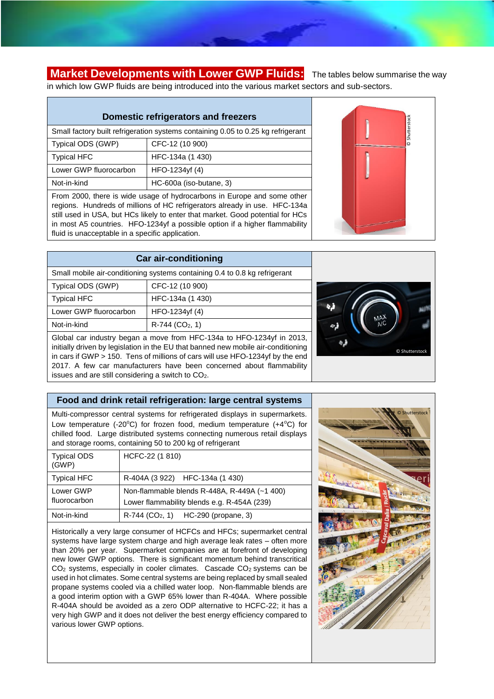**Market Developments with Lower GWP Fluids:** The tables below summarise the way in which low GWP fluids are being introduced into the various market sectors and sub-sectors.

# **Domestic refrigerators and freezers**

| Small factory built refrigeration systems containing 0.05 to 0.25 kg refrigerant |                         |  |  |
|----------------------------------------------------------------------------------|-------------------------|--|--|
| Typical ODS (GWP)                                                                | CFC-12 (10 900)         |  |  |
| <b>Typical HFC</b>                                                               | HFC-134a (1 430)        |  |  |
| Lower GWP fluorocarbon                                                           | HFO-1234yf (4)          |  |  |
| Not-in-kind                                                                      | HC-600a (iso-butane, 3) |  |  |

From 2000, there is wide usage of hydrocarbons in Europe and some other regions. Hundreds of millions of HC refrigerators already in use. HFC-134a still used in USA, but HCs likely to enter that market. Good potential for HCs in most A5 countries. HFO-1234yf a possible option if a higher flammability fluid is unacceptable in a specific application.



|                                                                            | <b>Car air-conditioning</b>                                                                                                                                                                                                                                                                                                                                                                          |  |
|----------------------------------------------------------------------------|------------------------------------------------------------------------------------------------------------------------------------------------------------------------------------------------------------------------------------------------------------------------------------------------------------------------------------------------------------------------------------------------------|--|
| Small mobile air-conditioning systems containing 0.4 to 0.8 kg refrigerant |                                                                                                                                                                                                                                                                                                                                                                                                      |  |
| Typical ODS (GWP)                                                          | CFC-12 (10 900)                                                                                                                                                                                                                                                                                                                                                                                      |  |
| <b>Typical HFC</b>                                                         | HFC-134a (1 430)                                                                                                                                                                                                                                                                                                                                                                                     |  |
| Lower GWP fluorocarbon                                                     | HFO-1234yf (4)                                                                                                                                                                                                                                                                                                                                                                                       |  |
| Not-in-kind                                                                | $R-744$ (CO <sub>2</sub> , 1)                                                                                                                                                                                                                                                                                                                                                                        |  |
|                                                                            | $O(\frac{1}{2} + \frac{1}{2} + \frac{1}{2} + \frac{1}{2} + \frac{1}{2} + \frac{1}{2} + \frac{1}{2} + \frac{1}{2} + \frac{1}{2} + \frac{1}{2} + \frac{1}{2} + \frac{1}{2} + \frac{1}{2} + \frac{1}{2} + \frac{1}{2} + \frac{1}{2} + \frac{1}{2} + \frac{1}{2} + \frac{1}{2} + \frac{1}{2} + \frac{1}{2} + \frac{1}{2} + \frac{1}{2} + \frac{1}{2} + \frac{1}{2} + \frac{1}{2} + \frac{1}{2} + \frac{$ |  |

Global car industry began a move from HFC-134a to HFO-1234yf in 2013, initially driven by legislation in the EU that banned new mobile air-conditioning in cars if GWP > 150. Tens of millions of cars will use HFO-1234yf by the end 2017. A few car manufacturers have been concerned about flammability issues and are still considering a switch to CO2.

### **Food and drink retail refrigeration: large central systems**

Multi-compressor central systems for refrigerated displays in supermarkets. Low temperature (-20 $^{\circ}$ C) for frozen food, medium temperature (+4 $^{\circ}$ C) for chilled food. Large distributed systems connecting numerous retail displays and storage rooms, containing 50 to 200 kg of refrigerant

| <b>Typical ODS</b><br>(GWP) | HCFC-22 (1 810)                                                                             |
|-----------------------------|---------------------------------------------------------------------------------------------|
| <b>Typical HFC</b>          | R-404A (3 922) HFC-134a (1 430)                                                             |
| Lower GWP<br>fluorocarbon   | Non-flammable blends R-448A, R-449A (~1 400)<br>Lower flammability blends e.g. R-454A (239) |
| Not-in-kind                 | $R-744$ (CO <sub>2</sub> , 1) HC-290 (propane, 3)                                           |

Historically a very large consumer of HCFCs and HFCs; supermarket central systems have large system charge and high average leak rates – often more than 20% per year. Supermarket companies are at forefront of developing new lower GWP options. There is significant momentum behind transcritical CO<sub>2</sub> systems, especially in cooler climates. Cascade CO<sub>2</sub> systems can be used in hot climates. Some central systems are being replaced by small sealed propane systems cooled via a chilled water loop. Non-flammable blends are a good interim option with a GWP 65% lower than R-404A. Where possible R-404A should be avoided as a zero ODP alternative to HCFC-22; it has a very high GWP and it does not deliver the best energy efficiency compared to various lower GWP options.



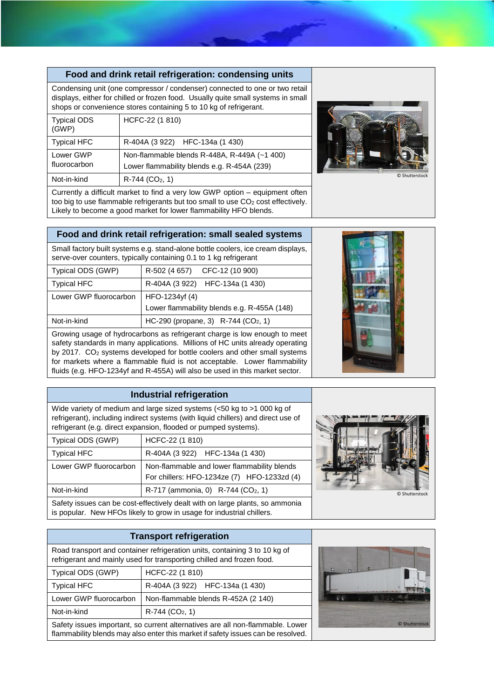### **Food and drink retail refrigeration: condensing units**

Condensing unit (one compressor / condenser) connected to one or two retail displays, either for chilled or frozen food. Usually quite small systems in small shops or convenience stores containing 5 to 10 kg of refrigerant.

| <b>Typical ODS</b><br>(GWP) | HCFC-22 (1 810)                                                                             |
|-----------------------------|---------------------------------------------------------------------------------------------|
| <b>Typical HFC</b>          | R-404A (3 922) HFC-134a (1 430)                                                             |
| Lower GWP<br>fluorocarbon   | Non-flammable blends R-448A, R-449A (~1 400)<br>Lower flammability blends e.g. R-454A (239) |
| Not-in-kind                 | $R-744$ (CO <sub>2</sub> , 1)                                                               |



Currently a difficult market to find a very low GWP option – equipment often too big to use flammable refrigerants but too small to use  $CO<sub>2</sub>$  cost effectively. Likely to become a good market for lower flammability HFO blends.

### **Food and drink retail refrigeration: small sealed systems**

Small factory built systems e.g. stand-alone bottle coolers, ice cream displays, serve-over counters, typically containing 0.1 to 1 kg refrigerant

| Typical ODS (GWP)      | R-502 (4 657) CFC-12 (10 900)                   |  |
|------------------------|-------------------------------------------------|--|
| <b>Typical HFC</b>     | R-404A (3 922) HFC-134a (1 430)                 |  |
| Lower GWP fluorocarbon | HFO-1234yf (4)                                  |  |
|                        | Lower flammability blends e.g. R-455A (148)     |  |
| Not-in-kind            | HC-290 (propane, 3) R-744 (CO <sub>2</sub> , 1) |  |

Growing usage of hydrocarbons as refrigerant charge is low enough to meet safety standards in many applications. Millions of HC units already operating by 2017. CO<sup>2</sup> systems developed for bottle coolers and other small systems for markets where a flammable fluid is not acceptable. Lower flammability fluids (e.g. HFO-1234yf and R-455A) will also be used in this market sector.



### **Industrial refrigeration**

Wide variety of medium and large sized systems (<50 kg to >1 000 kg of refrigerant), including indirect systems (with liquid chillers) and direct use of refrigerant (e.g. direct expansion, flooded or pumped systems).

| Typical ODS (GWP)                                                            | HCFC-22 (1 810)                                    |  |
|------------------------------------------------------------------------------|----------------------------------------------------|--|
| <b>Typical HFC</b>                                                           | R-404A (3 922) HFC-134a (1 430)                    |  |
| Lower GWP fluorocarbon                                                       | Non-flammable and lower flammability blends        |  |
|                                                                              | For chillers: HFO-1234ze (7) HFO-1233zd (4)        |  |
| Not-in-kind                                                                  | $R-717$ (ammonia, 0) $R-744$ (CO <sub>2</sub> , 1) |  |
| Safaty issues can be seet offectively dealt with on large plants, so ammonia |                                                    |  |

Safety issues can be cost-effectively dealt with on large plants, so ammonia is popular. New HFOs likely to grow in usage for industrial chillers.



**Transport refrigeration**  Road transport and container refrigeration units, containing 3 to 10 kg of refrigerant and mainly used for transporting chilled and frozen food. Typical ODS (GWP) HCFC-22 (1 810) Typical HFC R-404A (3 922) HFC-134a (1 430) Lower GWP fluorocarbon | Non-flammable blends R-452A (2 140) Not-in-kind  $R-744$  (CO<sub>2</sub>, 1) Safety issues important, so current alternatives are all non-flammable. Lower flammability blends may also enter this market if safety issues can be resolved.

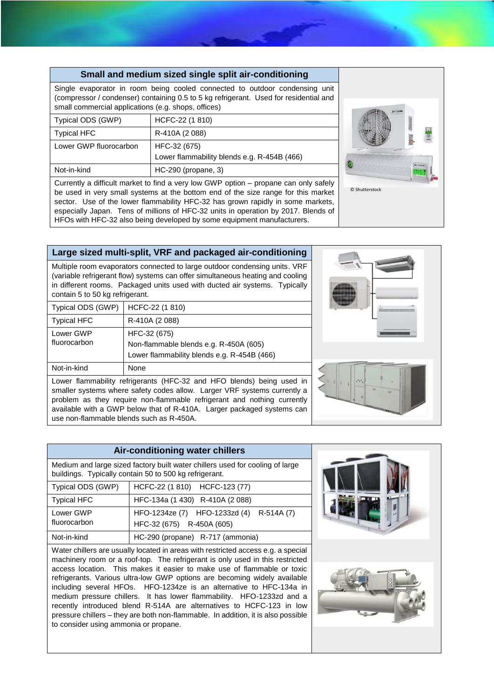|                                                     | Small and medium sized single split air-conditioning                                                                                                                                                                                                         |
|-----------------------------------------------------|--------------------------------------------------------------------------------------------------------------------------------------------------------------------------------------------------------------------------------------------------------------|
| small commercial applications (e.g. shops, offices) | Single evaporator in room being cooled connected to outdoor condensing unit<br>(compressor / condenser) containing 0.5 to 5 kg refrigerant. Used for residential and                                                                                         |
| Typical ODS (GWP)                                   | HCFC-22 (1 810)                                                                                                                                                                                                                                              |
| <b>Typical HFC</b>                                  | R-410A (2088)                                                                                                                                                                                                                                                |
| Lower GWP fluorocarbon                              | HFC-32 (675)<br>Lower flammability blends e.g. R-454B (466)                                                                                                                                                                                                  |
| Not-in-kind                                         | HC-290 (propane, 3)                                                                                                                                                                                                                                          |
|                                                     | Currently a difficult market to find a very low GWP option – propane can only safely<br>be used in very small systems at the bottom end of the size range for this market<br>sector. Use of the lower flammability HFC-32 has grown rapidly in some markets, |

**Large sized multi-split, VRF and packaged air-conditioning** 

especially Japan. Tens of millions of HFC-32 units in operation by 2017. Blends of HFOs with HFC-32 also being developed by some equipment manufacturers.

Multiple room evaporators connected to large outdoor condensing units. VRF (variable refrigerant flow) systems can offer simultaneous heating and cooling in different rooms. Packaged units used with ducted air systems. Typically contain 5 to 50 kg refrigerant.

| Typical ODS (GWP)                                                     | HCFC-22 (1 810)                                                                                       |  |
|-----------------------------------------------------------------------|-------------------------------------------------------------------------------------------------------|--|
| <b>Typical HFC</b>                                                    | R-410A (2088)                                                                                         |  |
| Lower GWP<br>fluorocarbon                                             | HFC-32 (675)<br>Non-flammable blends e.g. R-450A (605)<br>Lower flammability blends e.g. R-454B (466) |  |
| Not-in-kind                                                           | None                                                                                                  |  |
| Lower flammability refrigerants (HFC-32 and HFO blends) being used in |                                                                                                       |  |

smaller systems where safety codes allow. Larger VRF systems currently a problem as they require non-flammable refrigerant and nothing currently available with a GWP below that of R-410A. Larger packaged systems can use non-flammable blends such as R-450A.



### **Air-conditioning water chillers**

Medium and large sized factory built water chillers used for cooling of large buildings. Typically contain 50 to 500 kg refrigerant.

| Typical ODS (GWP)         | HCFC-22 (1 810) HCFC-123 (77)                                         |
|---------------------------|-----------------------------------------------------------------------|
| <b>Typical HFC</b>        | HFC-134a (1 430) R-410A (2 088)                                       |
| Lower GWP<br>fluorocarbon | HFO-1234ze (7) HFO-1233zd (4) R-514A (7)<br>HFC-32 (675) R-450A (605) |
| Not-in-kind               | HC-290 (propane) R-717 (ammonia)                                      |

Water chillers are usually located in areas with restricted access e.g. a special machinery room or a roof-top. The refrigerant is only used in this restricted access location. This makes it easier to make use of flammable or toxic refrigerants. Various ultra-low GWP options are becoming widely available including several HFOs. HFO-1234ze is an alternative to HFC-134a in medium pressure chillers. It has lower flammability. HFO-1233zd and a recently introduced blend R-514A are alternatives to HCFC-123 in low pressure chillers – they are both non-flammable. In addition, it is also possible to consider using ammonia or propane.